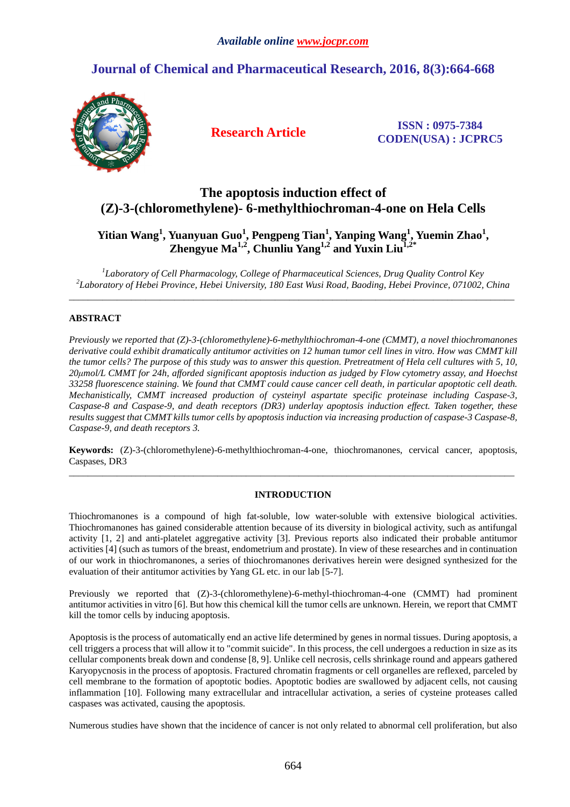# **Journal of Chemical and Pharmaceutical Research, 2016, 8(3):664-668**



**Research Article ISSN : 0975-7384 CODEN(USA) : JCPRC5**

# **The apoptosis induction effect of (Z)-3-(chloromethylene)- 6-methylthiochroman-4-one on Hela Cells**

## **Yitian Wang<sup>1</sup> , Yuanyuan Guo<sup>1</sup> , Pengpeng Tian<sup>1</sup> , Yanping Wang<sup>1</sup> , Yuemin Zhao<sup>1</sup> , Zhengyue Ma<sup>1,2</sup>, Chunliu Yang<sup>1,2</sup> and Yuxin Liu<sup>1</sup>**

*1 Laboratory of Cell Pharmacology, College of Pharmaceutical Sciences, Drug Quality Control Key 2 Laboratory of Hebei Province, Hebei University, 180 East Wusi Road, Baoding, Hebei Province, 071002, China*   $\overline{a}$  , and the contribution of the contribution of the contribution of the contribution of the contribution of the contribution of the contribution of the contribution of the contribution of the contribution of the co

### **ABSTRACT**

*Previously we reported that (Z)-3-(chloromethylene)-6-methylthiochroman-4-one (CMMT), a novel thiochromanones derivative could exhibit dramatically antitumor activities on 12 human tumor cell lines in vitro. How was CMMT kill the tumor cells? The purpose of this study was to answer this question. Pretreatment of Hela cell cultures with 5, 10, 20µmol/L CMMT for 24h, afforded significant apoptosis induction as judged by Flow cytometry assay, and Hoechst 33258 fluorescence staining. We found that CMMT could cause cancer cell death, in particular apoptotic cell death. Mechanistically, CMMT increased production of cysteinyl aspartate specific proteinase including Caspase-3, Caspase-8 and Caspase-9, and death receptors (DR3) underlay apoptosis induction effect. Taken together, these results suggest that CMMT kills tumor cells by apoptosis induction via increasing production of caspase-3 Caspase-8, Caspase-9, and death receptors 3.* 

**Keywords:** (Z)-3-(chloromethylene)-6-methylthiochroman-4-one, thiochromanones, cervical cancer, apoptosis, Caspases, DR3 \_\_\_\_\_\_\_\_\_\_\_\_\_\_\_\_\_\_\_\_\_\_\_\_\_\_\_\_\_\_\_\_\_\_\_\_\_\_\_\_\_\_\_\_\_\_\_\_\_\_\_\_\_\_\_\_\_\_\_\_\_\_\_\_\_\_\_\_\_\_\_\_\_\_\_\_\_\_\_\_\_\_\_\_\_\_\_\_\_\_\_\_\_

### **INTRODUCTION**

Thiochromanones is a compound of high fat-soluble, low water-soluble with extensive biological activities. Thiochromanones has gained considerable attention because of its diversity in biological activity, such as antifungal activity [1, 2] and anti-platelet aggregative activity [3]. Previous reports also indicated their probable antitumor activities [4] (such as tumors of the breast, endometrium and prostate). In view of these researches and in continuation of our work in thiochromanones, a series of thiochromanones derivatives herein were designed synthesized for the evaluation of their antitumor activities by Yang GL etc. in our lab [5-7].

Previously we reported that (Z)-3-(chloromethylene)-6-methyl-thiochroman-4-one (CMMT) had prominent antitumor activities in vitro [6]. But how this chemical kill the tumor cells are unknown. Herein, we report that CMMT kill the tomor cells by inducing apoptosis.

Apoptosis is the process of automatically end an active life determined by genes in normal tissues. During apoptosis, a cell triggers a process that will allow it to "commit suicide". In this process, the cell undergoes a reduction in size as its cellular components break down and condense [8, 9]. Unlike cell necrosis, cells shrinkage round and appears gathered Karyopycnosis in the process of apoptosis. Fractured chromatin fragments or cell organelles are reflexed, parceled by cell membrane to the formation of apoptotic bodies. Apoptotic bodies are swallowed by adjacent cells, not causing inflammation [10]. Following many extracellular and intracellular activation, a series of cysteine proteases called caspases was activated, causing the apoptosis.

Numerous studies have shown that the incidence of cancer is not only related to abnormal cell proliferation, but also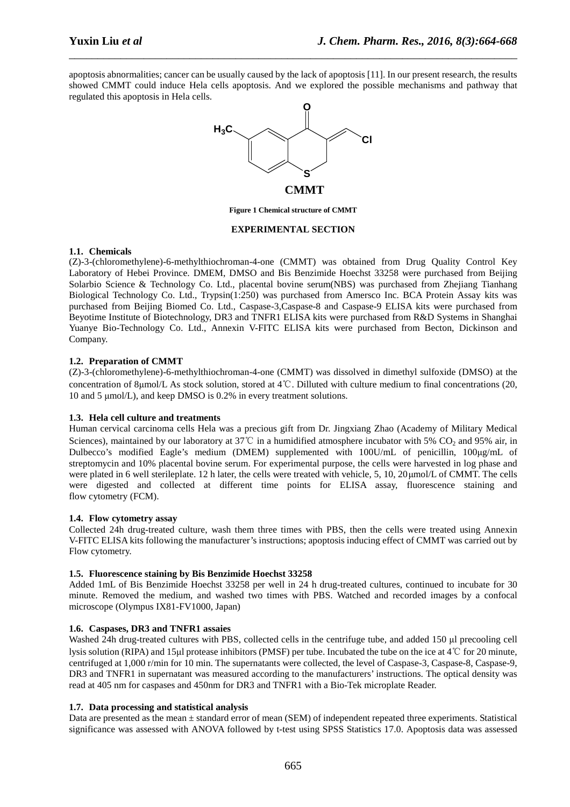apoptosis abnormalities; cancer can be usually caused by the lack of apoptosis [11]. In our present research, the results showed CMMT could induce Hela cells apoptosis. And we explored the possible mechanisms and pathway that regulated this apoptosis in Hela cells.

\_\_\_\_\_\_\_\_\_\_\_\_\_\_\_\_\_\_\_\_\_\_\_\_\_\_\_\_\_\_\_\_\_\_\_\_\_\_\_\_\_\_\_\_\_\_\_\_\_\_\_\_\_\_\_\_\_\_\_\_\_\_\_\_\_\_\_\_\_\_\_\_\_\_\_\_\_\_



**Figure 1 Chemical structure of CMMT** 

#### **EXPERIMENTAL SECTION**

#### **1.1. Chemicals**

(Z)-3-(chloromethylene)-6-methylthiochroman-4-one (CMMT) was obtained from Drug Quality Control Key Laboratory of Hebei Province. DMEM, DMSO and Bis Benzimide Hoechst 33258 were purchased from Beijing Solarbio Science & Technology Co. Ltd., placental bovine serum(NBS) was purchased from Zhejiang Tianhang Biological Technology Co. Ltd., Trypsin(1:250) was purchased from Amersco Inc. BCA Protein Assay kits was purchased from Beijing Biomed Co. Ltd., Caspase-3,Caspase-8 and Caspase-9 ELISA kits were purchased from Beyotime Institute of Biotechnology, DR3 and TNFR1 ELISA kits were purchased from R&D Systems in Shanghai Yuanye Bio-Technology Co. Ltd., Annexin V-FITC ELISA kits were purchased from Becton, Dickinson and Company.

### **1.2. Preparation of CMMT**

(Z)-3-(chloromethylene)-6-methylthiochroman-4-one (CMMT) was dissolved in dimethyl sulfoxide (DMSO) at the concentration of 8µmol/L As stock solution, stored at 4℃. Dilluted with culture medium to final concentrations (20, 10 and 5 µmol/L), and keep DMSO is 0.2% in every treatment solutions.

#### **1.3. Hela cell culture and treatments**

Human cervical carcinoma cells Hela was a precious gift from Dr. Jingxiang Zhao (Academy of Military Medical Sciences), maintained by our laboratory at 37°C in a humidified atmosphere incubator with 5% CO<sub>2</sub> and 95% air, in Dulbecco's modified Eagle's medium (DMEM) supplemented with 100U/mL of penicillin, 100µg/mL of streptomycin and 10% placental bovine serum. For experimental purpose, the cells were harvested in log phase and were plated in 6 well sterileplate. 12 h later, the cells were treated with vehicle, 5, 10, 20 µmol/L of CMMT. The cells were digested and collected at different time points for ELISA assay, fluorescence staining and flow cytometry (FCM).

#### **1.4. Flow cytometry assay**

Collected 24h drug-treated culture, wash them three times with PBS, then the cells were treated using Annexin V-FITC ELISA kits following the manufacturer's instructions; apoptosis inducing effect of CMMT was carried out by Flow cytometry.

#### **1.5. Fluorescence staining by Bis Benzimide Hoechst 33258**

Added 1mL of Bis Benzimide Hoechst 33258 per well in 24 h drug-treated cultures, continued to incubate for 30 minute. Removed the medium, and washed two times with PBS. Watched and recorded images by a confocal microscope (Olympus IX81-FV1000, Japan)

#### **1.6. Caspases, DR3 and TNFR1 assaies**

Washed 24h drug-treated cultures with PBS, collected cells in the centrifuge tube, and added 150 µl precooling cell lysis solution (RIPA) and 15µl protease inhibitors (PMSF) per tube. Incubated the tube on the ice at 4℃ for 20 minute, centrifuged at 1,000 r/min for 10 min. The supernatants were collected, the level of Caspase-3, Caspase-8, Caspase-9, DR3 and TNFR1 in supernatant was measured according to the manufacturers' instructions. The optical density was read at 405 nm for caspases and 450nm for DR3 and TNFR1 with a Bio-Tek microplate Reader.

#### **1.7. Data processing and statistical analysis**

Data are presented as the mean  $\pm$  standard error of mean (SEM) of independent repeated three experiments. Statistical significance was assessed with ANOVA followed by t-test using SPSS Statistics 17.0. Apoptosis data was assessed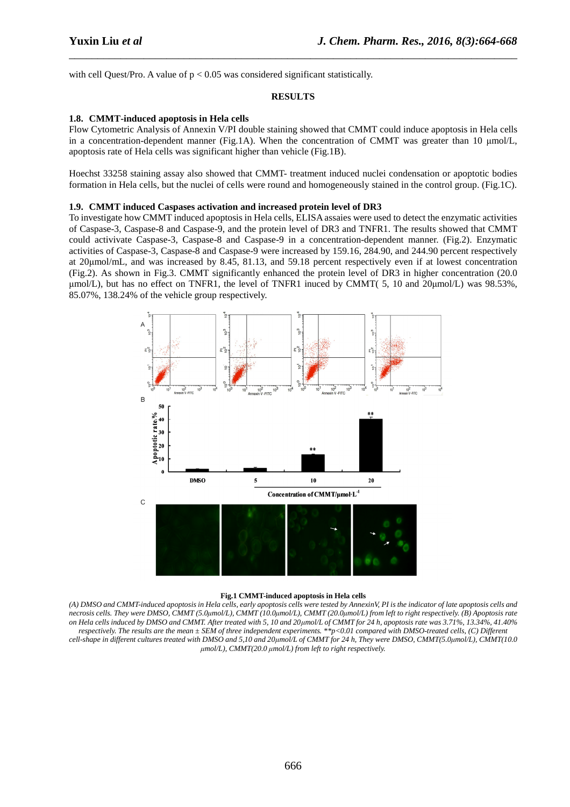with cell Quest/Pro. A value of  $p < 0.05$  was considered significant statistically.

#### **RESULTS**

\_\_\_\_\_\_\_\_\_\_\_\_\_\_\_\_\_\_\_\_\_\_\_\_\_\_\_\_\_\_\_\_\_\_\_\_\_\_\_\_\_\_\_\_\_\_\_\_\_\_\_\_\_\_\_\_\_\_\_\_\_\_\_\_\_\_\_\_\_\_\_\_\_\_\_\_\_\_

#### **1.8. CMMT-induced apoptosis in Hela cells**

Flow Cytometric Analysis of Annexin V/PI double staining showed that CMMT could induce apoptosis in Hela cells in a concentration-dependent manner (Fig.1A). When the concentration of CMMT was greater than 10 µmol/L, apoptosis rate of Hela cells was significant higher than vehicle (Fig.1B).

Hoechst 33258 staining assay also showed that CMMT- treatment induced nuclei condensation or apoptotic bodies formation in Hela cells, but the nuclei of cells were round and homogeneously stained in the control group. (Fig.1C).

#### **1.9. CMMT induced Caspases activation and increased protein level of DR3**

To investigate how CMMT induced apoptosis in Hela cells, ELISA assaies were used to detect the enzymatic activities of Caspase-3, Caspase-8 and Caspase-9, and the protein level of DR3 and TNFR1. The results showed that CMMT could activivate Caspase-3, Caspase-8 and Caspase-9 in a concentration-dependent manner. (Fig.2). Enzymatic activities of Caspase-3, Caspase-8 and Caspase-9 were increased by 159.16, 284.90, and 244.90 percent respectively at 20µmol/mL, and was increased by 8.45, 81.13, and 59.18 percent respectively even if at lowest concentration (Fig.2). As shown in Fig.3. CMMT significantly enhanced the protein level of DR3 in higher concentration (20.0 µmol/L), but has no effect on TNFR1, the level of TNFR1 inuced by CMMT( 5, 10 and 20µmol/L) was 98.53%, 85.07%, 138.24% of the vehicle group respectively.



#### **Fig.1 CMMT-induced apoptosis in Hela cells**

*(A) DMSO and CMMT-induced apoptosis in Hela cells, early apoptosis cells were tested by AnnexinV, PI is the indicator of late apoptosis cells and necrosis cells. They were DMSO, CMMT (5.0µmol/L), CMMT (10.0µmol/L), CMMT (20.0µmol/L) from left to right respectively. (B) Apoptosis rate on Hela cells induced by DMSO and CMMT. After treated with 5, 10 and 20µmol/L of CMMT for 24 h, apoptosis rate was 3.71%, 13.34%, 41.40% respectively. The results are the mean ± SEM of three independent experiments. \*\*p<0.01 compared with DMSO-treated cells, (C) Different cell-shape in different cultures treated with DMSO and 5,10 and 20µmol/L of CMMT for 24 h, They were DMSO, CMMT(5.0µmol/L), CMMT(10.0 µmol/L), CMMT(20.0 µmol/L) from left to right respectively.*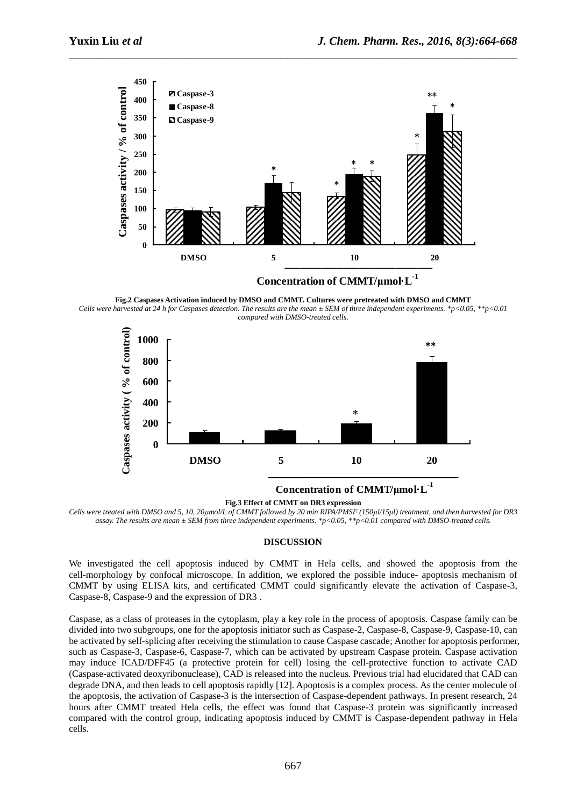

\_\_\_\_\_\_\_\_\_\_\_\_\_\_\_\_\_\_\_\_\_\_\_\_\_\_\_\_\_\_\_\_\_\_\_\_\_\_\_\_\_\_\_\_\_\_\_\_\_\_\_\_\_\_\_\_\_\_\_\_\_\_\_\_\_\_\_\_\_\_\_\_\_\_\_\_\_\_

**Fig.2 Caspases Activation induced by DMSO and CMMT. Cultures were pretreated with DMSO and CMMT**  *Cells were harvested at 24 h for Caspases detection. The results are the mean ± SEM of three independent experiments. \*p<0.05, \*\*p<0.01 compared with DMSO-treated cells.* 



#### **Fig.3 Effect of CMMT on DR3 expression**

*Cells were treated with DMSO and 5, 10, 20µmol/L of CMMT followed by 20 min RIPA/PMSF (150µl/15µl) treatment, and then harvested for DR3 assay. The results are mean ± SEM from three independent experiments. \*p<0.05, \*\*p<0.01 compared with DMSO-treated cells.* 

#### **DISCUSSION**

We investigated the cell apoptosis induced by CMMT in Hela cells, and showed the apoptosis from the cell-morphology by confocal microscope. In addition, we explored the possible induce- apoptosis mechanism of CMMT by using ELISA kits, and certificated CMMT could significantly elevate the activation of Caspase-3, Caspase-8, Caspase-9 and the expression of DR3 .

Caspase, as a class of proteases in the cytoplasm, play a key role in the process of apoptosis. Caspase family can be divided into two subgroups, one for the apoptosis initiator such as Caspase-2, Caspase-8, Caspase-9, Caspase-10, can be activated by self-splicing after receiving the stimulation to cause Caspase cascade; Another for apoptosis performer, such as Caspase-3, Caspase-6, Caspase-7, which can be activated by upstream Caspase protein. Caspase activation may induce ICAD/DFF45 (a protective protein for cell) losing the cell-protective function to activate CAD (Caspase-activated deoxyribonuclease), CAD is released into the nucleus. Previous trial had elucidated that CAD can degrade DNA, and then leads to cell apoptosis rapidly [12]. Apoptosis is a complex process. As the center molecule of the apoptosis, the activation of Caspase-3 is the intersection of Caspase-dependent pathways. In present research, 24 hours after CMMT treated Hela cells, the effect was found that Caspase-3 protein was significantly increased compared with the control group, indicating apoptosis induced by CMMT is Caspase-dependent pathway in Hela cells.